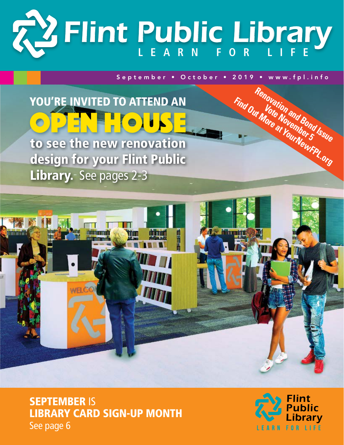

September • October • 2019 • www.fpl.info

## Open House to see the new renovation design for your Flint Public Library. See pages 2-3 YOU'RE INVITED TO ATTEND AN



**SEPTEMBER IS** Library Card Sign-Up Month See page 6



Renovation and Bond Issue

Find Out Mote November 5 Sue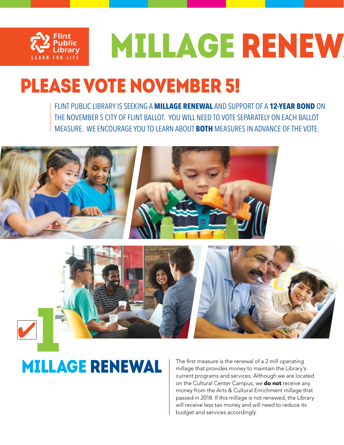

# **MILLAGE RENEW**

## Please Vote November 5!

Flint Public Library is seeking a **millage renewal** and support of a **12-year bond** on the November 5 City of Flint ballot. You will need to vote separately on each ballot measure. We encourage you to learn about **both** measures in advance of the vote.





## Millage Renewal

The first measure is the renewal of a 2 mill operating millage that provides money to maintain the Library's current programs and services. Although we are located on the Cultural Center Campus, we do not receive any money from the Arts & Cultural Enrichment millage that passed in 2018. If this millage is not renewed, the Library will receive less tax money and will need to reduce its budget and services accordingly.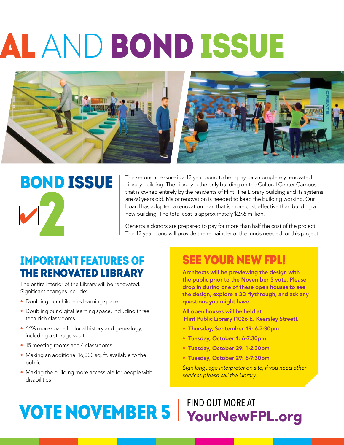# AL AND BOND ISSUE





The second measure is a 12-year bond to help pay for a completely renovated Library building. The Library is the only building on the Cultural Center Campus that is owned entirely by the residents of Flint. The Library building and its systems are 60 years old. Major renovation is needed to keep the building working. Our board has adopted a renovation plan that is more cost-effective than building a new building. The total cost is approximately \$27.6 million.

Generous donors are prepared to pay for more than half the cost of the project. The 12-year bond will provide the remainder of the funds needed for this project.

## Important Features of the Renovated Library

The entire interior of the Library will be renovated. Significant changes include:

- Doubling our children's learning space
- Doubling our digital learning space, including three tech-rich classrooms
- 66% more space for local history and genealogy, including a storage vault
- 15 meeting rooms and 4 classrooms
- Making an additional 16,000 sq. ft. available to the public
- Making the building more accessible for people with disabilities

## See Your New FPL!

Architects will be previewing the design with the public prior to the November 5 vote. Please drop in during one of these open houses to see the design, explore a 3D flythrough, and ask any questions you might have.

All open houses will be held at Flint Public Library (1026 E. Kearsley Street).

- Thursday, September 19: 6-7:30pm
- Tuesday, October 1: 6-7:30pm
- Tuesday, October 29: 1-2:30pm
- Tuesday, October 29: 6-7:30pm

*Sign language interpreter on site, if you need other services please call the Library.*

## VOTE NOVEMBER 5 | FIND OUT MORE AT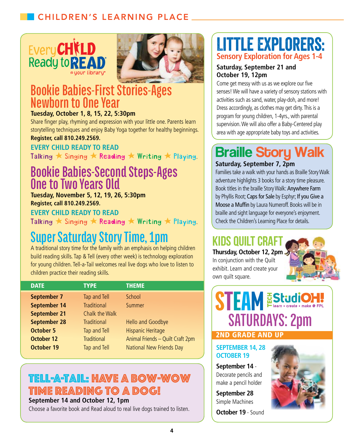### Children's Learning Place





## **Bookie Babies-First Stories-Ages Newborn to One Year**

#### **Tuesday, October 1, 8, 15, 22, 5:30pm**

Share finger play, rhyming and expression with your little one. Parents learn storytelling techniques and enjoy Baby Yoga together for healthy beginnings.

#### **Register, call 810.249.2569.**

**Every child ready to read**  Talking  $\star$  Singing  $\star$  Reading  $\star$  Writing  $\star$  Playing.

## **Bookie Babies-Second Steps-Ages One to Two Years Old**

**Tuesday, November 5, 12, 19, 26, 5:30pm Register, call 810.249.2569.**

**Every child ready to read** 

Talking  $\star$  Singing  $\star$  Reading  $\star$  Writing  $\star$  Playing.

## **Super Saturday Story Time, 1pm**

A traditional story time for the family with an emphasis on helping children build reading skills. Tap & Tell (every other week) is technology exploration for young children. Tell-a-Tail welcomes real live dogs who love to listen to children practice their reading skills.

| <b>DATE</b>         | <b>TYPE</b>         | <b>THEME</b>                     |
|---------------------|---------------------|----------------------------------|
| <b>September 7</b>  | Tap and Tell        | School                           |
| September 14        | <b>Traditional</b>  | Summer                           |
| <b>September 21</b> | Chalk the Walk      |                                  |
| <b>September 28</b> | <b>Traditional</b>  | <b>Hello and Goodbye</b>         |
| <b>October 5</b>    | Tap and Tell        | Hispanic Heritage                |
| <b>October 12</b>   | <b>Traditional</b>  | Animal Friends - Quilt Craft 2pm |
| <b>October 19</b>   | <b>Tap and Tell</b> | <b>National New Friends Day</b>  |
|                     |                     |                                  |

## Tell-A-Tail: Have a Bow-Wow Time Reading to a Dog!

#### **September 14 and October 12, 1pm**

Choose a favorite book and Read aloud to real live dogs trained to listen.

## Little Explorers: **Sensory Exploration for Ages 1-4**

#### **Saturday, September 21 and October 19, 12pm**

Come get messy with us as we explore our five senses! We will have a variety of sensory stations with activities such as sand, water, play-doh, and more! Dress accordingly, as clothes may get dirty. This is a program for young children, 1-4yrs., with parental supervision. We will also offer a Baby-Centered play area with age appropriate baby toys and activities.

### Braille Story Walk– **Saturday, September 7, 2pm**

Families take a walk with your hands as Braille Story Walk adventure highlights 3 books for a story time pleasure. Book titles in the braille Story Walk: Anywhere Farm by Phyllis Root; Caps for Sale by Esphyr; If you Give a Moose a Muffin by Laura Numeroff. Books will be in braille and sight language for everyone's enjoyment. Check the Children's Learning Place for details.

## **Kids Quilt Craft**

**Thursday, October 12, 2pm** In conjunction with the Quilt exhibit. Learn and create your own quilt square.





#### **September 14, 28 October 19**

**September 14** - Decorate pencils and make a pencil holder

**September 28** Simple Machines

**October 19** - Sound

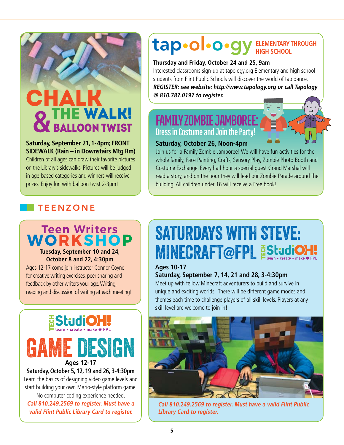## **CHALK** The Walk! **ALLOON TWIST**

**Saturday, September 21, 1-4pm; FRONT SIDEWALK (Rain – in Downstairs Mtg Rm)** 

Children of all ages can draw their favorite pictures on the Library's sidewalks. Pictures will be judged in age-based categories and winners will receive prizes. Enjoy fun with balloon twist 2-3pm!

#### tap•ol•o•gy **Elementary through High School**

#### **Thursday and Friday, October 24 and 25, 9am**

Interested classrooms sign-up at tapology.org Elementary and high school students from Flint Public Schools will discover the world of tap dance. **REGISTER: see website: http://www.tapology.org or call Tapology @ 810.787.0197 to register.**

## **Family Zombie jamboree: Dress in Costume and Join the Party!**

#### **Saturday, October 26, Noon-4pm**

Join us for a Family Zombie Jamboree! We will have fun activities for the whole family, Face Painting, Crafts, Sensory Play, Zombie Photo Booth and Costume Exchange. Every half hour a special guest Grand Marshal will read a story, and on the hour they will lead our Zombie Parade around the building. All children under 16 will receive a Free book!

## **TEENZONE**

## **Teen Writers Workshop**

**Tuesday, September 10 and 24, October 8 and 22, 4:30pm**

Ages 12-17 come join instructor Connor Coyne for creative writing exercises, peer sharing and feedback by other writers your age. Writing, reading and discussion of writing at each meeting!

## **EStudiOH!** GAME DESIGN **Ages 12-17**

**Saturday, October 5, 12, 19 and 26, 3-4:30pm**

Learn the basics of designing video game levels and start building your own Mario-style platform game. No computer coding experience needed.

**Call 810.249.2569 to register. Must have a valid Flint Public Library Card to register.**

## SATURDAYS WITH STEVE: **MINECRAFT@FPL EStudiOH:**

#### **Ages 10-17**

#### **Saturday, September 7, 14, 21 and 28, 3-4:30pm**

Meet up with fellow Minecraft adventurers to build and survive in unique and exciting worlds. There will be different game modes and themes each time to challenge players of all skill levels. Players at any skill level are welcome to join in!



**Call 810.249.2569 to register. Must have a valid Flint Public Library Card to register.**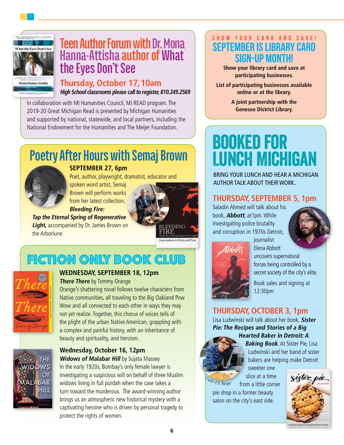

## **Teen Author Forum with Dr. Mona Hanna-Attisha author of What the Eyes Don't See**

#### **Thursday, October 17, 10am High School classrooms please call to register, 810.249.2569**

In collaboration with MI Humanities Council, MI READ program. The 2019-20 Great Michigan Read is presented by Michigan Humanities and supported by national, statewide, and local partners, including the National Endowment for the Humanities and The Meijer Foundation.

## **Poetry After Hours with Semaj Brown**



**September 27, 6pm**

Poet, author, playwright, dramatist, educator and

spoken word artist, Semaj Brown will perform works from her latest collection, **Bleeding Fire:** 

**Tap the Eternal Spring of Regenerative Light,** accompanied by Dr. James Brown on the Arborlune.



## Fiction Only Book Club



#### **Wednesday, September 18, 12pm**

**There There** by Tommy Orange Orange's shattering novel follows twelve characters from Native communities, all traveling to the Big Oakland Pow Wow and all connected to each other in ways they may not yet realize. Together, this chorus of voices tells of the plight of the urban Native American, grappling with a complex and painful history, with an inheritance of beauty and spirituality, and heroism.



#### **Wednesday, October 16, 12pm Widows of Malabar Hill** by Sujata Massey In the early 1920s, Bombay's only female lawyer is investigating a suspicious will on behalf of three Muslim widows living in full purdah when the case takes a turn toward the murderous. The award-winning author brings us an atmospheric new historical mystery with a captivating heroine who is driven by personal tragedy to protect the rights of women.

## **S h o w Y o u r C a r d a n d S a v e ! September is Library Card Sign-Up Month!**

**Show your library card and save at participating businesses.**

**List of participating businesses available online or at the library.**

> **A joint partnership with the Genesee District Library.**

## Booked for Lunch Michigan

Bring your lunch and hear a Michigan author talk about their work.

#### **Thursday, September 5, 1pm**

Saladin Ahmed will talk about his book, **Abbott**, at1pm. While investigating police brutality and corruption in 1970s Detroit,





journalist Elena Abbott uncovers supernatural forces being controlled by a

secret society of the city's elite. Book sales and signing at

### **Thursday, October 3, 1pm**

12:30pm

Lisa Ludwinski will talk about her book, **Sister Pie: The Recipes and Stories of a Big Hearted Baker in Detroit: A**



**Baking Book**. At Sister Pie, Lisa Ludwinski and her band of sister bakers are helping make Detroit

sweeter one slice at a time from a little corner

pie shop in a former beauty salon on the city's east side.

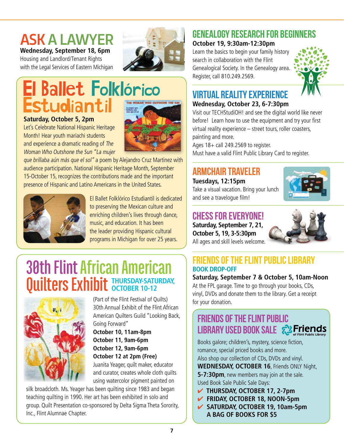## Ask a Lawyer

**Wednesday, September 18, 6pm** Housing and Landlord/Tenant Rights with the Legal Services of Eastern Michigan



## El Ballet Folklórico Estudiantil

#### **Saturday, October 5, 2pm**

Let's Celebrate National Hispanic Heritage Month! Hear youth mariachi students and experience a dramatic reading of The Woman Who Outshone the Sun "La mujer



que brillaba aún más que el sol" a poem by Alejandro Cruz Martinez with audience participation. National Hispanic Heritage Month, September 15-October 15, recognizes the contributions made and the important presence of Hispanic and Latino Americans in the United States.



El Ballet Folklórico Estudiantil is dedicated to preserving the Mexican culture and enriching children's lives through dance, music, and education. It has been the leader providing Hispanic cultural programs in Michigan for over 25 years.

## **30th Flint African American Quilters Exhibit <u>THURSDAY-SATURDAY,</u> October 10-12**



(Part of the Flint Festival of Quilts) 30th Annual Exhibit of the Flint African American Quilters Guild "Looking Back, Going Forward"

**October 10, 11am-8pm October 11, 9am-6pm October 12, 9am-6pm October 12 at 2pm (Free)** 

Juanita Yeager, quilt maker, educator and curator, creates whole cloth quilts using watercolor pigment painted on

silk broadcloth. Ms. Yeager has been quilting since 1983 and began teaching quilting in 1990. Her art has been exhibited in solo and group. Quilt Presentation co-sponsored by Delta Sigma Theta Sorority, Inc., Flint Alumnae Chapter.

## **Genealogy Research for Beginners**

**October 19, 9:30am-12:30pm**  Learn the basics to begin your family history search in collaboration with the Flint

Genealogical Society. In the Genealogy area.

Register, call 810.249.2569.



#### **Virtual Reality Experience Wednesday, October 23, 6-7:30pm**

Visit our TECHStudiOH! and see the digital world like never before! Learn how to use the equipment and try your first virtual reality experience – street tours, roller coasters, painting and more.

Ages 18+ call 249.2569 to register. Must have a valid Flint Public Library Card to register.

### **Armchair Traveler Tuesdays, 12:15pm**

Take a visual vacation. Bring your lunch and see a travelogue film!



#### **Chess for Everyone! Saturday, September 7, 21, October 5, 19, 3-5:30pm**

All ages and skill levels welcome.



### **Friends of the Flint Public Library Book Drop-Off**

**Saturday, September 7 & October 5, 10am-Noon** At the FPL garage. Time to go through your books, CDs, vinyl, DVDs and donate them to the library. Get a receipt for your donation.

## **Friends of the Flint Public LIBRARY USED BOOK SALE 2 Friends**

Books galore; children's, mystery, science fiction, romance, special priced books and more.

Also shop our collection of CDs, DVDs and vinyl.

**WEDNESDAY, OCTOBER 16, Friends ONLY Night,** 

**5-7:30pm**, new members may join at the sale. Used Book Sale Public Sale Days:

- ✔ **Thursday, October 17, 2-7pm**
- ✔ **Friday, October 18, Noon-5pm**
- ✔ **Saturday, October 19, 10am-5pm a bag of books for \$5**